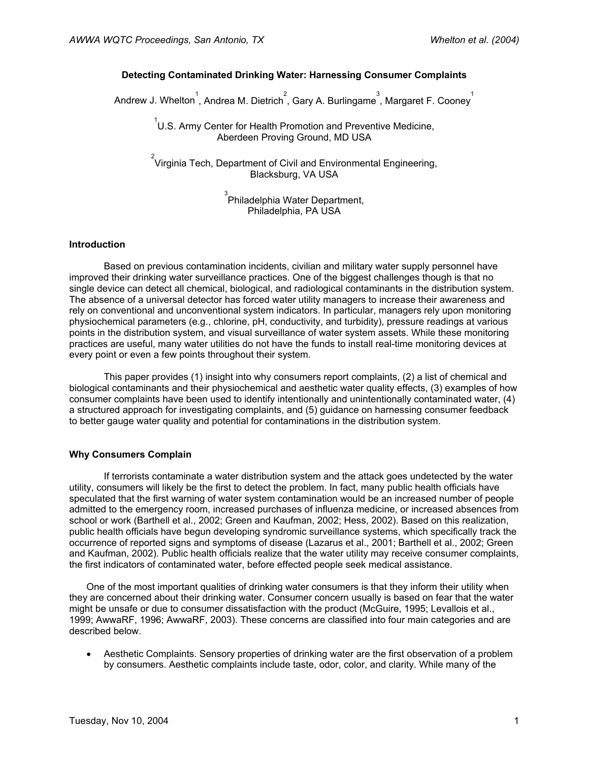# **Detecting Contaminated Drinking Water: Harnessing Consumer Complaints**

Andrew J. Whelton<sup>1</sup>, Andrea M. Dietrich<sup>2</sup>, Gary A. Burlingame<sup>3</sup>, Margaret F. Cooney<sup>1</sup>

 1 U.S. Army Center for Health Promotion and Preventive Medicine, Aberdeen Proving Ground, MD USA

 $\overline{2}$ Virginia Tech, Department of Civil and Environmental Engineering, Blacksburg, VA USA

> 3 Philadelphia Water Department, Philadelphia, PA USA

### **Introduction**

Based on previous contamination incidents, civilian and military water supply personnel have improved their drinking water surveillance practices. One of the biggest challenges though is that no single device can detect all chemical, biological, and radiological contaminants in the distribution system. The absence of a universal detector has forced water utility managers to increase their awareness and rely on conventional and unconventional system indicators. In particular, managers rely upon monitoring physiochemical parameters (e.g., chlorine, pH, conductivity, and turbidity), pressure readings at various points in the distribution system, and visual surveillance of water system assets. While these monitoring practices are useful, many water utilities do not have the funds to install real-time monitoring devices at every point or even a few points throughout their system.

This paper provides (1) insight into why consumers report complaints, (2) a list of chemical and biological contaminants and their physiochemical and aesthetic water quality effects, (3) examples of how consumer complaints have been used to identify intentionally and unintentionally contaminated water, (4) a structured approach for investigating complaints, and (5) guidance on harnessing consumer feedback to better gauge water quality and potential for contaminations in the distribution system.

### **Why Consumers Complain**

If terrorists contaminate a water distribution system and the attack goes undetected by the water utility, consumers will likely be the first to detect the problem. In fact, many public health officials have speculated that the first warning of water system contamination would be an increased number of people admitted to the emergency room, increased purchases of influenza medicine, or increased absences from school or work (Barthell et al., 2002; Green and Kaufman, 2002; Hess, 2002). Based on this realization, public health officials have begun developing syndromic surveillance systems, which specifically track the occurrence of reported signs and symptoms of disease (Lazarus et al., 2001; Barthell et al., 2002; Green and Kaufman, 2002). Public health officials realize that the water utility may receive consumer complaints, the first indicators of contaminated water, before effected people seek medical assistance.

One of the most important qualities of drinking water consumers is that they inform their utility when they are concerned about their drinking water. Consumer concern usually is based on fear that the water might be unsafe or due to consumer dissatisfaction with the product (McGuire, 1995; Levallois et al., 1999; AwwaRF, 1996; AwwaRF, 2003). These concerns are classified into four main categories and are described below.

• Aesthetic Complaints. Sensory properties of drinking water are the first observation of a problem by consumers. Aesthetic complaints include taste, odor, color, and clarity. While many of the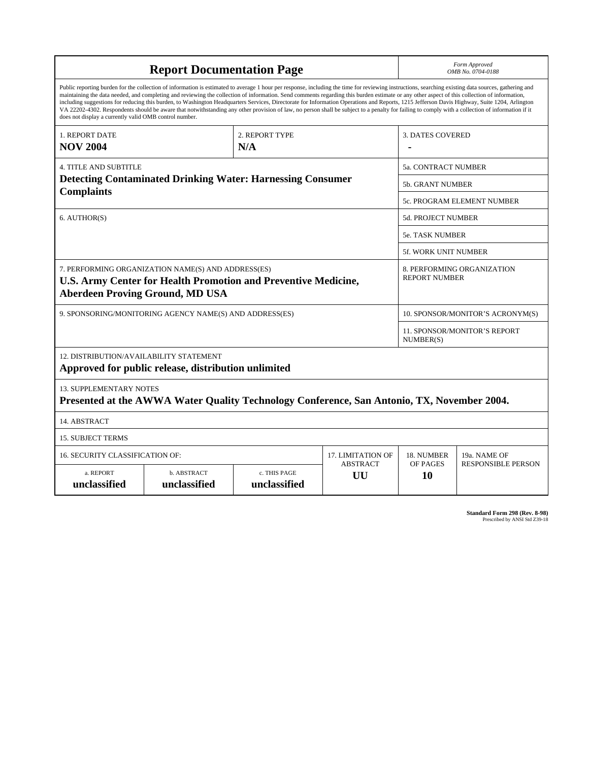| <b>Report Documentation Page</b>                                                                                                                                                                                                                                                                                                                                                                                                                                                                                                                                                                                                                                                                                                                                                                                                                                   |                             |                              |                           | Form Approved<br>OMB No. 0704-0188                 |                           |  |
|--------------------------------------------------------------------------------------------------------------------------------------------------------------------------------------------------------------------------------------------------------------------------------------------------------------------------------------------------------------------------------------------------------------------------------------------------------------------------------------------------------------------------------------------------------------------------------------------------------------------------------------------------------------------------------------------------------------------------------------------------------------------------------------------------------------------------------------------------------------------|-----------------------------|------------------------------|---------------------------|----------------------------------------------------|---------------------------|--|
| Public reporting burden for the collection of information is estimated to average 1 hour per response, including the time for reviewing instructions, searching existing data sources, gathering and<br>maintaining the data needed, and completing and reviewing the collection of information. Send comments regarding this burden estimate or any other aspect of this collection of information,<br>including suggestions for reducing this burden, to Washington Headquarters Services, Directorate for Information Operations and Reports, 1215 Jefferson Davis Highway, Suite 1204, Arlington<br>VA 22202-4302. Respondents should be aware that notwithstanding any other provision of law, no person shall be subject to a penalty for failing to comply with a collection of information if it<br>does not display a currently valid OMB control number. |                             |                              |                           |                                                    |                           |  |
| 1. REPORT DATE<br><b>NOV 2004</b>                                                                                                                                                                                                                                                                                                                                                                                                                                                                                                                                                                                                                                                                                                                                                                                                                                  |                             | 2. REPORT TYPE<br>N/A        |                           | <b>3. DATES COVERED</b>                            |                           |  |
| <b>4. TITLE AND SUBTITLE</b>                                                                                                                                                                                                                                                                                                                                                                                                                                                                                                                                                                                                                                                                                                                                                                                                                                       |                             |                              |                           | 5a. CONTRACT NUMBER                                |                           |  |
| <b>Detecting Contaminated Drinking Water: Harnessing Consumer</b>                                                                                                                                                                                                                                                                                                                                                                                                                                                                                                                                                                                                                                                                                                                                                                                                  |                             |                              |                           | <b>5b. GRANT NUMBER</b>                            |                           |  |
| <b>Complaints</b>                                                                                                                                                                                                                                                                                                                                                                                                                                                                                                                                                                                                                                                                                                                                                                                                                                                  |                             |                              |                           | <b>5c. PROGRAM ELEMENT NUMBER</b>                  |                           |  |
| 6. AUTHOR(S)                                                                                                                                                                                                                                                                                                                                                                                                                                                                                                                                                                                                                                                                                                                                                                                                                                                       |                             |                              | <b>5d. PROJECT NUMBER</b> |                                                    |                           |  |
|                                                                                                                                                                                                                                                                                                                                                                                                                                                                                                                                                                                                                                                                                                                                                                                                                                                                    |                             |                              |                           | <b>5e. TASK NUMBER</b>                             |                           |  |
|                                                                                                                                                                                                                                                                                                                                                                                                                                                                                                                                                                                                                                                                                                                                                                                                                                                                    |                             |                              |                           | <b>5f. WORK UNIT NUMBER</b>                        |                           |  |
| 7. PERFORMING ORGANIZATION NAME(S) AND ADDRESS(ES)<br><b>U.S. Army Center for Health Promotion and Preventive Medicine,</b><br><b>Aberdeen Proving Ground, MD USA</b>                                                                                                                                                                                                                                                                                                                                                                                                                                                                                                                                                                                                                                                                                              |                             |                              |                           | 8. PERFORMING ORGANIZATION<br><b>REPORT NUMBER</b> |                           |  |
| 9. SPONSORING/MONITORING AGENCY NAME(S) AND ADDRESS(ES)                                                                                                                                                                                                                                                                                                                                                                                                                                                                                                                                                                                                                                                                                                                                                                                                            |                             |                              |                           | 10. SPONSOR/MONITOR'S ACRONYM(S)                   |                           |  |
|                                                                                                                                                                                                                                                                                                                                                                                                                                                                                                                                                                                                                                                                                                                                                                                                                                                                    |                             |                              |                           | 11. SPONSOR/MONITOR'S REPORT<br>NUMBER(S)          |                           |  |
| 12. DISTRIBUTION/AVAILABILITY STATEMENT<br>Approved for public release, distribution unlimited                                                                                                                                                                                                                                                                                                                                                                                                                                                                                                                                                                                                                                                                                                                                                                     |                             |                              |                           |                                                    |                           |  |
| <b>13. SUPPLEMENTARY NOTES</b><br>Presented at the AWWA Water Quality Technology Conference, San Antonio, TX, November 2004.                                                                                                                                                                                                                                                                                                                                                                                                                                                                                                                                                                                                                                                                                                                                       |                             |                              |                           |                                                    |                           |  |
| 14. ABSTRACT                                                                                                                                                                                                                                                                                                                                                                                                                                                                                                                                                                                                                                                                                                                                                                                                                                                       |                             |                              |                           |                                                    |                           |  |
| <b>15. SUBJECT TERMS</b>                                                                                                                                                                                                                                                                                                                                                                                                                                                                                                                                                                                                                                                                                                                                                                                                                                           |                             |                              |                           |                                                    |                           |  |
| <b>16. SECURITY CLASSIFICATION OF:</b><br><b>17. LIMITATION OF</b>                                                                                                                                                                                                                                                                                                                                                                                                                                                                                                                                                                                                                                                                                                                                                                                                 |                             |                              |                           | 18. NUMBER                                         | 19a. NAME OF              |  |
| a. REPORT<br>unclassified                                                                                                                                                                                                                                                                                                                                                                                                                                                                                                                                                                                                                                                                                                                                                                                                                                          | b. ABSTRACT<br>unclassified | c. THIS PAGE<br>unclassified | <b>ABSTRACT</b><br>UU     | OF PAGES<br>10                                     | <b>RESPONSIBLE PERSON</b> |  |

| <b>Standard Form 298 (Rev. 8-98)</b> |                               |  |  |
|--------------------------------------|-------------------------------|--|--|
|                                      | Prescribed by ANSI Std Z39-18 |  |  |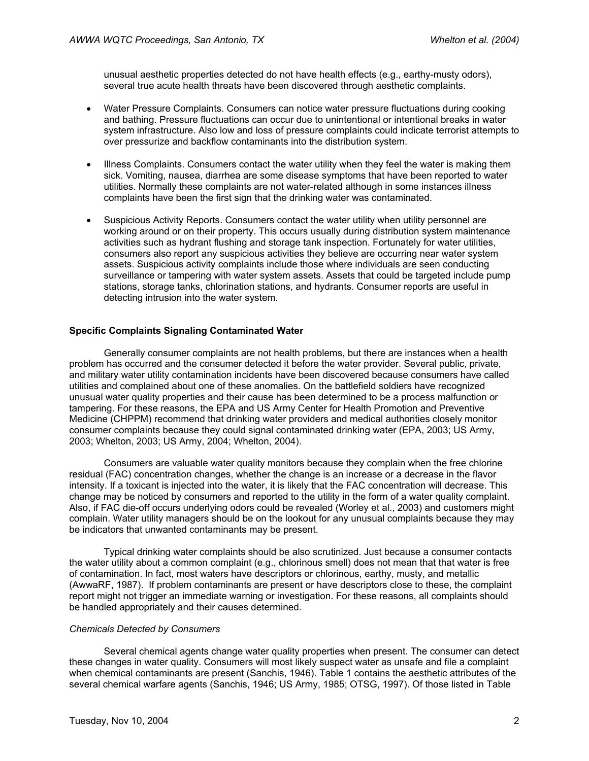unusual aesthetic properties detected do not have health effects (e.g., earthy-musty odors), several true acute health threats have been discovered through aesthetic complaints.

- Water Pressure Complaints. Consumers can notice water pressure fluctuations during cooking and bathing. Pressure fluctuations can occur due to unintentional or intentional breaks in water system infrastructure. Also low and loss of pressure complaints could indicate terrorist attempts to over pressurize and backflow contaminants into the distribution system.
- Illness Complaints. Consumers contact the water utility when they feel the water is making them sick. Vomiting, nausea, diarrhea are some disease symptoms that have been reported to water utilities. Normally these complaints are not water-related although in some instances illness complaints have been the first sign that the drinking water was contaminated.
- Suspicious Activity Reports. Consumers contact the water utility when utility personnel are working around or on their property. This occurs usually during distribution system maintenance activities such as hydrant flushing and storage tank inspection. Fortunately for water utilities, consumers also report any suspicious activities they believe are occurring near water system assets. Suspicious activity complaints include those where individuals are seen conducting surveillance or tampering with water system assets. Assets that could be targeted include pump stations, storage tanks, chlorination stations, and hydrants. Consumer reports are useful in detecting intrusion into the water system.

# **Specific Complaints Signaling Contaminated Water**

Generally consumer complaints are not health problems, but there are instances when a health problem has occurred and the consumer detected it before the water provider. Several public, private, and military water utility contamination incidents have been discovered because consumers have called utilities and complained about one of these anomalies. On the battlefield soldiers have recognized unusual water quality properties and their cause has been determined to be a process malfunction or tampering. For these reasons, the EPA and US Army Center for Health Promotion and Preventive Medicine (CHPPM) recommend that drinking water providers and medical authorities closely monitor consumer complaints because they could signal contaminated drinking water (EPA, 2003; US Army, 2003; Whelton, 2003; US Army, 2004; Whelton, 2004).

Consumers are valuable water quality monitors because they complain when the free chlorine residual (FAC) concentration changes, whether the change is an increase or a decrease in the flavor intensity. If a toxicant is injected into the water, it is likely that the FAC concentration will decrease. This change may be noticed by consumers and reported to the utility in the form of a water quality complaint. Also, if FAC die-off occurs underlying odors could be revealed (Worley et al., 2003) and customers might complain. Water utility managers should be on the lookout for any unusual complaints because they may be indicators that unwanted contaminants may be present.

Typical drinking water complaints should be also scrutinized. Just because a consumer contacts the water utility about a common complaint (e.g., chlorinous smell) does not mean that that water is free of contamination. In fact, most waters have descriptors or chlorinous, earthy, musty, and metallic (AwwaRF, 1987). If problem contaminants are present or have descriptors close to these, the complaint report might not trigger an immediate warning or investigation. For these reasons, all complaints should be handled appropriately and their causes determined.

### *Chemicals Detected by Consumers*

Several chemical agents change water quality properties when present. The consumer can detect these changes in water quality. Consumers will most likely suspect water as unsafe and file a complaint when chemical contaminants are present (Sanchis, 1946). Table 1 contains the aesthetic attributes of the several chemical warfare agents (Sanchis, 1946; US Army, 1985; OTSG, 1997). Of those listed in Table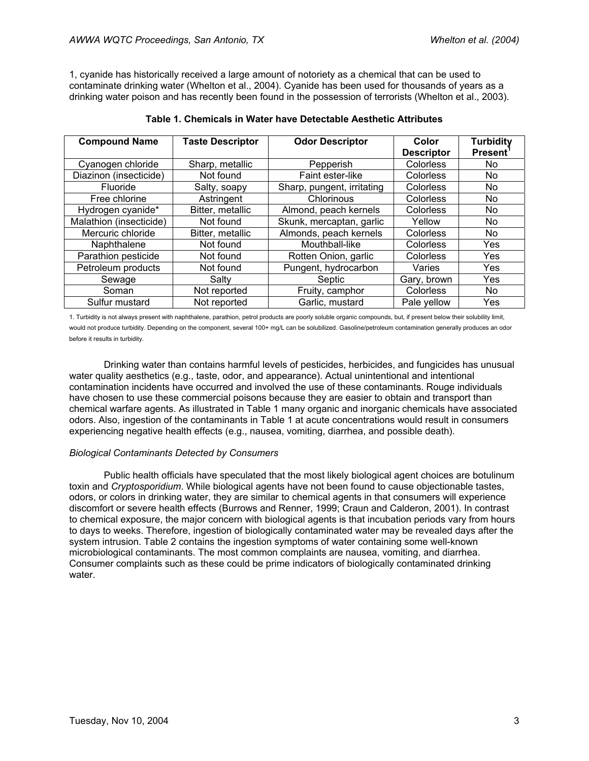1, cyanide has historically received a large amount of notoriety as a chemical that can be used to contaminate drinking water (Whelton et al., 2004). Cyanide has been used for thousands of years as a drinking water poison and has recently been found in the possession of terrorists (Whelton et al., 2003).

| <b>Compound Name</b>    | <b>Taste Descriptor</b> | <b>Odor Descriptor</b>     | Color             | <b>Turbidity</b> |
|-------------------------|-------------------------|----------------------------|-------------------|------------------|
|                         |                         |                            | <b>Descriptor</b> | <b>Present</b>   |
| Cyanogen chloride       | Sharp, metallic         | Pepperish                  | Colorless         | No.              |
| Diazinon (insecticide)  | Not found               | Faint ester-like           | Colorless         | No.              |
| Fluoride                | Salty, soapy            | Sharp, pungent, irritating | Colorless         | No.              |
| Free chlorine           | Astringent              | Chlorinous                 | Colorless         | No.              |
| Hydrogen cyanide*       | Bitter, metallic        | Almond, peach kernels      | Colorless         | No.              |
| Malathion (insecticide) | Not found               | Skunk, mercaptan, garlic   | Yellow            | No.              |
| Mercuric chloride       | Bitter, metallic        | Almonds, peach kernels     | <b>Colorless</b>  | No.              |
| Naphthalene             | Not found               | Mouthball-like             | Colorless         | Yes              |
| Parathion pesticide     | Not found               | Rotten Onion, garlic       | <b>Colorless</b>  | Yes              |
| Petroleum products      | Not found               | Pungent, hydrocarbon       | Varies            | Yes              |
| Sewage                  | Salty                   | Septic                     | Gary, brown       | Yes              |
| Soman                   | Not reported            | Fruity, camphor            | <b>Colorless</b>  | No.              |
| Sulfur mustard          | Not reported            | Garlic, mustard            | Pale yellow       | Yes              |

| Table 1. Chemicals in Water have Detectable Aesthetic Attributes |  |
|------------------------------------------------------------------|--|
|------------------------------------------------------------------|--|

1. Turbidity is not always present with naphthalene, parathion, petrol products are poorly soluble organic compounds, but, if present below their solubility limit, would not produce turbidity. Depending on the component, several 100+ mg/L can be solubilized. Gasoline/petroleum contamination generally produces an odor before it results in turbidity.

Drinking water than contains harmful levels of pesticides, herbicides, and fungicides has unusual water quality aesthetics (e.g., taste, odor, and appearance). Actual unintentional and intentional contamination incidents have occurred and involved the use of these contaminants. Rouge individuals have chosen to use these commercial poisons because they are easier to obtain and transport than chemical warfare agents. As illustrated in Table 1 many organic and inorganic chemicals have associated odors. Also, ingestion of the contaminants in Table 1 at acute concentrations would result in consumers experiencing negative health effects (e.g., nausea, vomiting, diarrhea, and possible death).

### *Biological Contaminants Detected by Consumers*

Public health officials have speculated that the most likely biological agent choices are botulinum toxin and *Cryptosporidium*. While biological agents have not been found to cause objectionable tastes, odors, or colors in drinking water, they are similar to chemical agents in that consumers will experience discomfort or severe health effects (Burrows and Renner, 1999; Craun and Calderon, 2001). In contrast to chemical exposure, the major concern with biological agents is that incubation periods vary from hours to days to weeks. Therefore, ingestion of biologically contaminated water may be revealed days after the system intrusion. Table 2 contains the ingestion symptoms of water containing some well-known microbiological contaminants. The most common complaints are nausea, vomiting, and diarrhea. Consumer complaints such as these could be prime indicators of biologically contaminated drinking water.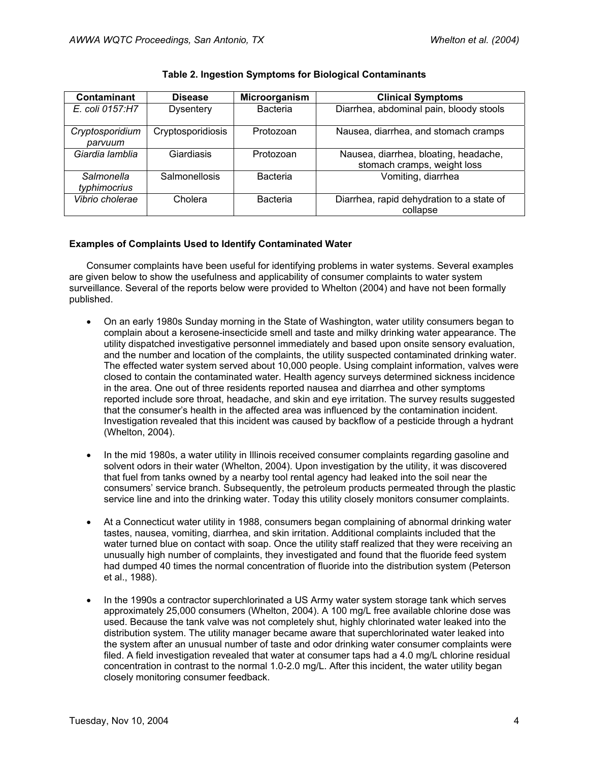| <b>Contaminant</b>         | <b>Disease</b>       | Microorganism   | <b>Clinical Symptoms</b>                                             |
|----------------------------|----------------------|-----------------|----------------------------------------------------------------------|
| E. coli 0157:H7            | <b>Dysentery</b>     | <b>Bacteria</b> | Diarrhea, abdominal pain, bloody stools                              |
| Cryptosporidium<br>parvuum | Cryptosporidiosis    | Protozoan       | Nausea, diarrhea, and stomach cramps                                 |
| Giardia lamblia            | Giardiasis           | Protozoan       | Nausea, diarrhea, bloating, headache,<br>stomach cramps, weight loss |
| Salmonella<br>typhimocrius | <b>Salmonellosis</b> | <b>Bacteria</b> | Vomiting, diarrhea                                                   |
| Vibrio cholerae            | Cholera              | <b>Bacteria</b> | Diarrhea, rapid dehydration to a state of<br>collapse                |

### **Table 2. Ingestion Symptoms for Biological Contaminants**

# **Examples of Complaints Used to Identify Contaminated Water**

Consumer complaints have been useful for identifying problems in water systems. Several examples are given below to show the usefulness and applicability of consumer complaints to water system surveillance. Several of the reports below were provided to Whelton (2004) and have not been formally published.

- On an early 1980s Sunday morning in the State of Washington, water utility consumers began to complain about a kerosene-insecticide smell and taste and milky drinking water appearance. The utility dispatched investigative personnel immediately and based upon onsite sensory evaluation, and the number and location of the complaints, the utility suspected contaminated drinking water. The effected water system served about 10,000 people. Using complaint information, valves were closed to contain the contaminated water. Health agency surveys determined sickness incidence in the area. One out of three residents reported nausea and diarrhea and other symptoms reported include sore throat, headache, and skin and eye irritation. The survey results suggested that the consumer's health in the affected area was influenced by the contamination incident. Investigation revealed that this incident was caused by backflow of a pesticide through a hydrant (Whelton, 2004).
- In the mid 1980s, a water utility in Illinois received consumer complaints regarding gasoline and solvent odors in their water (Whelton, 2004). Upon investigation by the utility, it was discovered that fuel from tanks owned by a nearby tool rental agency had leaked into the soil near the consumers' service branch. Subsequently, the petroleum products permeated through the plastic service line and into the drinking water. Today this utility closely monitors consumer complaints.
- At a Connecticut water utility in 1988, consumers began complaining of abnormal drinking water tastes, nausea, vomiting, diarrhea, and skin irritation. Additional complaints included that the water turned blue on contact with soap. Once the utility staff realized that they were receiving an unusually high number of complaints, they investigated and found that the fluoride feed system had dumped 40 times the normal concentration of fluoride into the distribution system (Peterson et al., 1988).
- In the 1990s a contractor superchlorinated a US Army water system storage tank which serves approximately 25,000 consumers (Whelton, 2004). A 100 mg/L free available chlorine dose was used. Because the tank valve was not completely shut, highly chlorinated water leaked into the distribution system. The utility manager became aware that superchlorinated water leaked into the system after an unusual number of taste and odor drinking water consumer complaints were filed. A field investigation revealed that water at consumer taps had a 4.0 mg/L chlorine residual concentration in contrast to the normal 1.0-2.0 mg/L. After this incident, the water utility began closely monitoring consumer feedback.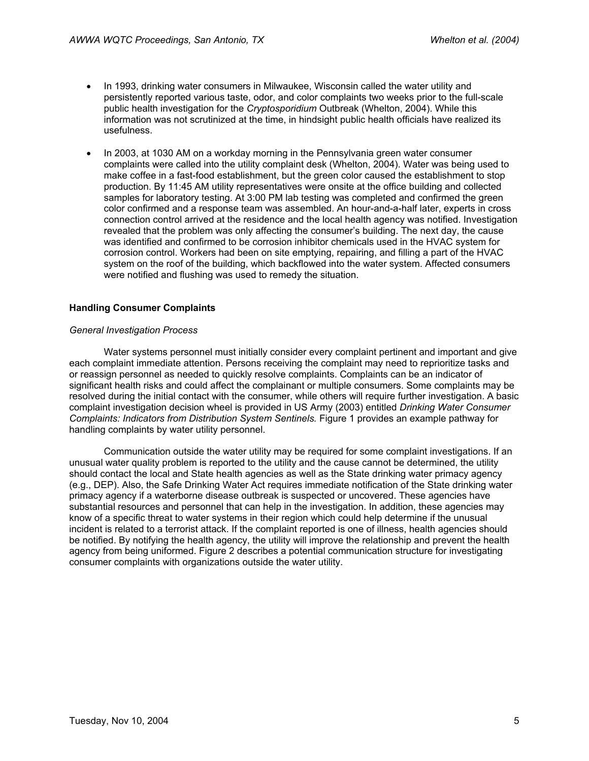- In 1993, drinking water consumers in Milwaukee, Wisconsin called the water utility and persistently reported various taste, odor, and color complaints two weeks prior to the full-scale public health investigation for the *Cryptosporidium* Outbreak (Whelton, 2004). While this information was not scrutinized at the time, in hindsight public health officials have realized its usefulness.
- In 2003, at 1030 AM on a workday morning in the Pennsylvania green water consumer complaints were called into the utility complaint desk (Whelton, 2004). Water was being used to make coffee in a fast-food establishment, but the green color caused the establishment to stop production. By 11:45 AM utility representatives were onsite at the office building and collected samples for laboratory testing. At 3:00 PM lab testing was completed and confirmed the green color confirmed and a response team was assembled. An hour-and-a-half later, experts in cross connection control arrived at the residence and the local health agency was notified. Investigation revealed that the problem was only affecting the consumer's building. The next day, the cause was identified and confirmed to be corrosion inhibitor chemicals used in the HVAC system for corrosion control. Workers had been on site emptying, repairing, and filling a part of the HVAC system on the roof of the building, which backflowed into the water system. Affected consumers were notified and flushing was used to remedy the situation.

# **Handling Consumer Complaints**

### *General Investigation Process*

Water systems personnel must initially consider every complaint pertinent and important and give each complaint immediate attention. Persons receiving the complaint may need to reprioritize tasks and or reassign personnel as needed to quickly resolve complaints. Complaints can be an indicator of significant health risks and could affect the complainant or multiple consumers. Some complaints may be resolved during the initial contact with the consumer, while others will require further investigation. A basic complaint investigation decision wheel is provided in US Army (2003) entitled *Drinking Water Consumer Complaints: Indicators from Distribution System Sentinels.* Figure 1 provides an example pathway for handling complaints by water utility personnel.

Communication outside the water utility may be required for some complaint investigations. If an unusual water quality problem is reported to the utility and the cause cannot be determined, the utility should contact the local and State health agencies as well as the State drinking water primacy agency (e.g., DEP). Also, the Safe Drinking Water Act requires immediate notification of the State drinking water primacy agency if a waterborne disease outbreak is suspected or uncovered. These agencies have substantial resources and personnel that can help in the investigation. In addition, these agencies may know of a specific threat to water systems in their region which could help determine if the unusual incident is related to a terrorist attack. If the complaint reported is one of illness, health agencies should be notified. By notifying the health agency, the utility will improve the relationship and prevent the health agency from being uniformed. Figure 2 describes a potential communication structure for investigating consumer complaints with organizations outside the water utility.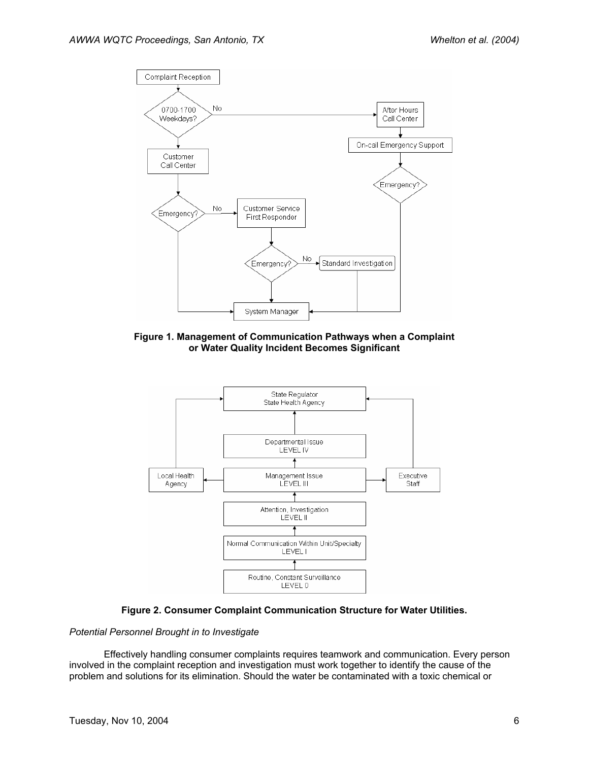

**Figure 1. Management of Communication Pathways when a Complaint or Water Quality Incident Becomes Significant** 





### *Potential Personnel Brought in to Investigate*

Effectively handling consumer complaints requires teamwork and communication. Every person involved in the complaint reception and investigation must work together to identify the cause of the problem and solutions for its elimination. Should the water be contaminated with a toxic chemical or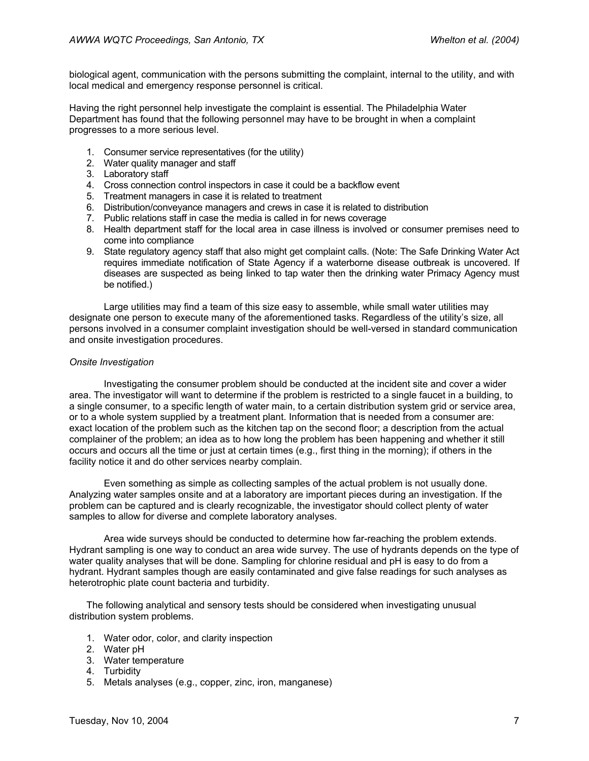biological agent, communication with the persons submitting the complaint, internal to the utility, and with local medical and emergency response personnel is critical.

Having the right personnel help investigate the complaint is essential. The Philadelphia Water Department has found that the following personnel may have to be brought in when a complaint progresses to a more serious level.

- 1. Consumer service representatives (for the utility)
- 2. Water quality manager and staff
- 3. Laboratory staff
- 4. Cross connection control inspectors in case it could be a backflow event
- 5. Treatment managers in case it is related to treatment
- 6. Distribution/conveyance managers and crews in case it is related to distribution
- 7. Public relations staff in case the media is called in for news coverage
- 8. Health department staff for the local area in case illness is involved or consumer premises need to come into compliance
- 9. State regulatory agency staff that also might get complaint calls. (Note: The Safe Drinking Water Act requires immediate notification of State Agency if a waterborne disease outbreak is uncovered. If diseases are suspected as being linked to tap water then the drinking water Primacy Agency must be notified.)

Large utilities may find a team of this size easy to assemble, while small water utilities may designate one person to execute many of the aforementioned tasks. Regardless of the utility's size, all persons involved in a consumer complaint investigation should be well-versed in standard communication and onsite investigation procedures.

### *Onsite Investigation*

Investigating the consumer problem should be conducted at the incident site and cover a wider area. The investigator will want to determine if the problem is restricted to a single faucet in a building, to a single consumer, to a specific length of water main, to a certain distribution system grid or service area, or to a whole system supplied by a treatment plant. Information that is needed from a consumer are: exact location of the problem such as the kitchen tap on the second floor; a description from the actual complainer of the problem; an idea as to how long the problem has been happening and whether it still occurs and occurs all the time or just at certain times (e.g., first thing in the morning); if others in the facility notice it and do other services nearby complain.

Even something as simple as collecting samples of the actual problem is not usually done. Analyzing water samples onsite and at a laboratory are important pieces during an investigation. If the problem can be captured and is clearly recognizable, the investigator should collect plenty of water samples to allow for diverse and complete laboratory analyses.

Area wide surveys should be conducted to determine how far-reaching the problem extends. Hydrant sampling is one way to conduct an area wide survey. The use of hydrants depends on the type of water quality analyses that will be done. Sampling for chlorine residual and pH is easy to do from a hydrant. Hydrant samples though are easily contaminated and give false readings for such analyses as heterotrophic plate count bacteria and turbidity.

The following analytical and sensory tests should be considered when investigating unusual distribution system problems.

- 1. Water odor, color, and clarity inspection
- 2. Water pH
- 3. Water temperature
- 4. Turbidity
- 5. Metals analyses (e.g., copper, zinc, iron, manganese)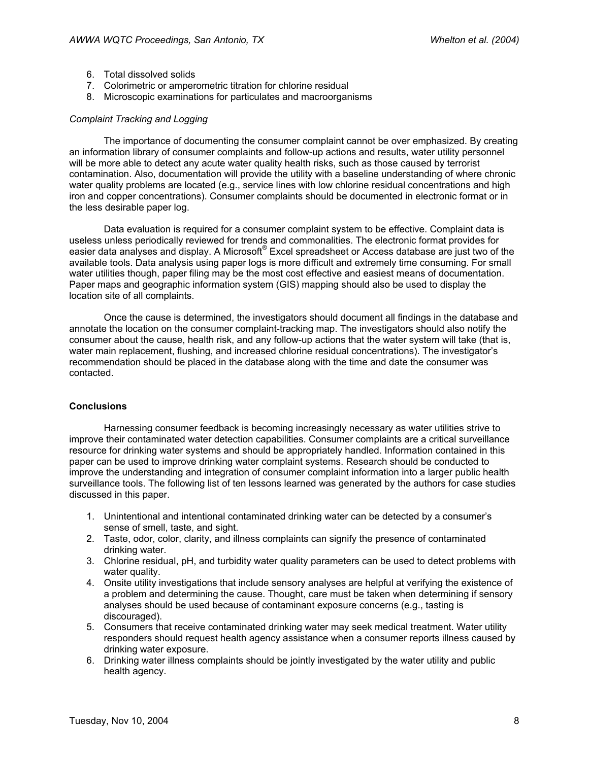- 6. Total dissolved solids
- 7. Colorimetric or amperometric titration for chlorine residual
- 8. Microscopic examinations for particulates and macroorganisms

#### *Complaint Tracking and Logging*

The importance of documenting the consumer complaint cannot be over emphasized. By creating an information library of consumer complaints and follow-up actions and results, water utility personnel will be more able to detect any acute water quality health risks, such as those caused by terrorist contamination. Also, documentation will provide the utility with a baseline understanding of where chronic water quality problems are located (e.g., service lines with low chlorine residual concentrations and high iron and copper concentrations). Consumer complaints should be documented in electronic format or in the less desirable paper log.

Data evaluation is required for a consumer complaint system to be effective. Complaint data is useless unless periodically reviewed for trends and commonalities. The electronic format provides for easier data analyses and display. A Microsoft® Excel spreadsheet or Access database are just two of the available tools. Data analysis using paper logs is more difficult and extremely time consuming. For small water utilities though, paper filing may be the most cost effective and easiest means of documentation. Paper maps and geographic information system (GIS) mapping should also be used to display the location site of all complaints.

Once the cause is determined, the investigators should document all findings in the database and annotate the location on the consumer complaint-tracking map. The investigators should also notify the consumer about the cause, health risk, and any follow-up actions that the water system will take (that is, water main replacement, flushing, and increased chlorine residual concentrations). The investigator's recommendation should be placed in the database along with the time and date the consumer was contacted.

### **Conclusions**

Harnessing consumer feedback is becoming increasingly necessary as water utilities strive to improve their contaminated water detection capabilities. Consumer complaints are a critical surveillance resource for drinking water systems and should be appropriately handled. Information contained in this paper can be used to improve drinking water complaint systems. Research should be conducted to improve the understanding and integration of consumer complaint information into a larger public health surveillance tools. The following list of ten lessons learned was generated by the authors for case studies discussed in this paper.

- 1. Unintentional and intentional contaminated drinking water can be detected by a consumer's sense of smell, taste, and sight.
- 2. Taste, odor, color, clarity, and illness complaints can signify the presence of contaminated drinking water.
- 3. Chlorine residual, pH, and turbidity water quality parameters can be used to detect problems with water quality.
- 4. Onsite utility investigations that include sensory analyses are helpful at verifying the existence of a problem and determining the cause. Thought, care must be taken when determining if sensory analyses should be used because of contaminant exposure concerns (e.g., tasting is discouraged).
- 5. Consumers that receive contaminated drinking water may seek medical treatment. Water utility responders should request health agency assistance when a consumer reports illness caused by drinking water exposure.
- 6. Drinking water illness complaints should be jointly investigated by the water utility and public health agency.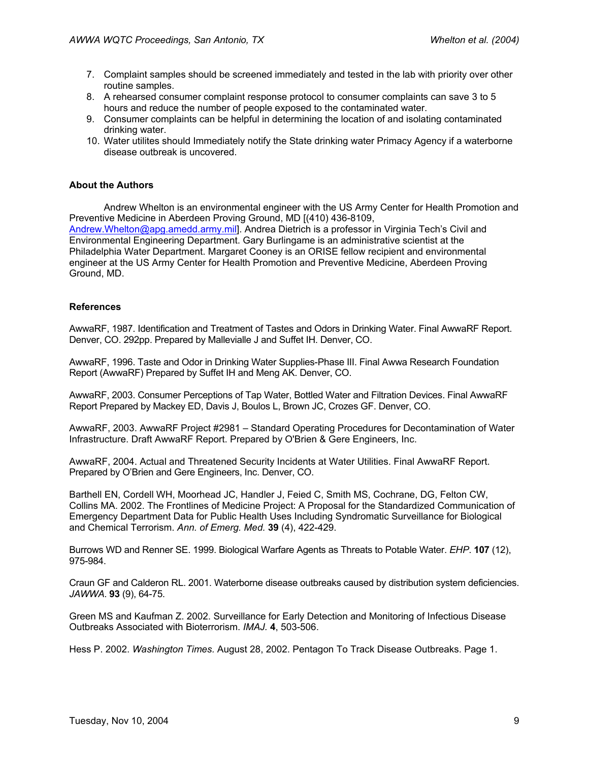- 7. Complaint samples should be screened immediately and tested in the lab with priority over other routine samples.
- 8. A rehearsed consumer complaint response protocol to consumer complaints can save 3 to 5 hours and reduce the number of people exposed to the contaminated water.
- 9. Consumer complaints can be helpful in determining the location of and isolating contaminated drinking water.
- 10. Water utilites should Immediately notify the State drinking water Primacy Agency if a waterborne disease outbreak is uncovered.

### **About the Authors**

Andrew Whelton is an environmental engineer with the US Army Center for Health Promotion and Preventive Medicine in Aberdeen Proving Ground, MD [(410) 436-8109, Andrew.Whelton@apg.amedd.army.mil]. Andrea Dietrich is a professor in Virginia Tech's Civil and Environmental Engineering Department. Gary Burlingame is an administrative scientist at the Philadelphia Water Department. Margaret Cooney is an ORISE fellow recipient and environmental engineer at the US Army Center for Health Promotion and Preventive Medicine, Aberdeen Proving Ground, MD.

### **References**

AwwaRF, 1987. Identification and Treatment of Tastes and Odors in Drinking Water. Final AwwaRF Report. Denver, CO. 292pp. Prepared by Mallevialle J and Suffet IH. Denver, CO.

AwwaRF, 1996. Taste and Odor in Drinking Water Supplies-Phase III. Final Awwa Research Foundation Report (AwwaRF) Prepared by Suffet IH and Meng AK. Denver, CO.

AwwaRF, 2003. Consumer Perceptions of Tap Water, Bottled Water and Filtration Devices. Final AwwaRF Report Prepared by Mackey ED, Davis J, Boulos L, Brown JC, Crozes GF. Denver, CO.

AwwaRF, 2003. AwwaRF Project #2981 – Standard Operating Procedures for Decontamination of Water Infrastructure. Draft AwwaRF Report. Prepared by O'Brien & Gere Engineers, Inc.

AwwaRF, 2004. Actual and Threatened Security Incidents at Water Utilities. Final AwwaRF Report. Prepared by O'Brien and Gere Engineers, Inc. Denver, CO.

Barthell EN, Cordell WH, Moorhead JC, Handler J, Feied C, Smith MS, Cochrane, DG, Felton CW, Collins MA. 2002. The Frontlines of Medicine Project: A Proposal for the Standardized Communication of Emergency Department Data for Public Health Uses Including Syndromatic Surveillance for Biological and Chemical Terrorism. *Ann. of Emerg. Med.* **39** (4), 422-429.

Burrows WD and Renner SE. 1999. Biological Warfare Agents as Threats to Potable Water. *EHP*. **107** (12), 975-984.

Craun GF and Calderon RL. 2001. Waterborne disease outbreaks caused by distribution system deficiencies. *JAWWA*. **93** (9), 64-75.

Green MS and Kaufman Z. 2002. Surveillance for Early Detection and Monitoring of Infectious Disease Outbreaks Associated with Bioterrorism. *IMAJ.* **4**, 503-506.

Hess P. 2002. *Washington Times.* August 28, 2002. Pentagon To Track Disease Outbreaks. Page 1.